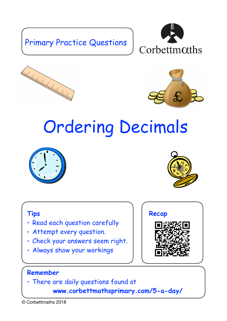## Primary Practice Questions







## Ordering Decimals





## **Tips**

- Read each question carefully
- Attempt every question.
- Check your answers seem right.
- Always show your workings



## **Remember**

• There are daily questions found at

 **www.corbettmathsprimary.com/5-a-day/**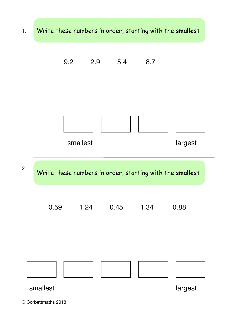



© Corbettmaths 2018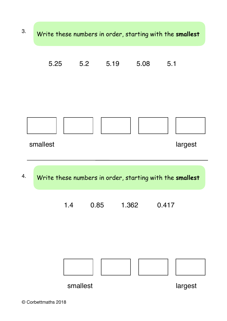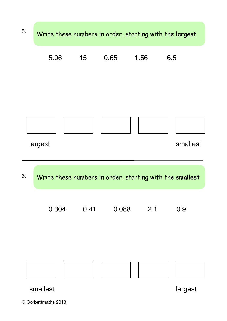

© Corbettmaths 2018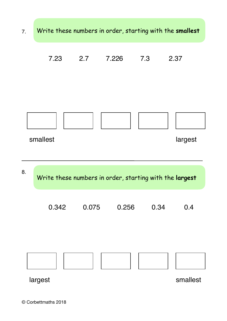![](_page_4_Figure_0.jpeg)

![](_page_4_Figure_1.jpeg)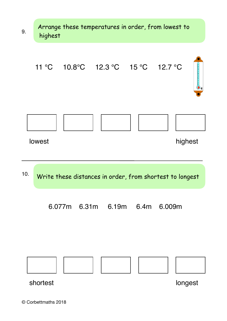![](_page_5_Figure_0.jpeg)